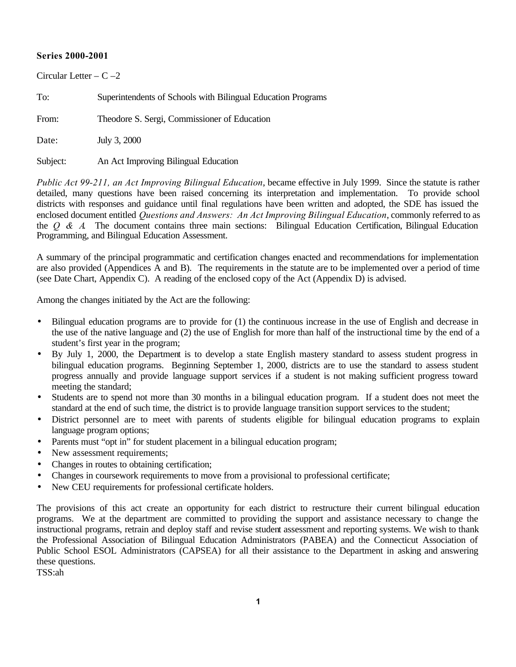## **Series 2000-2001**

| Circular Letter $- C - 2$ |                                                              |  |  |  |
|---------------------------|--------------------------------------------------------------|--|--|--|
| To:                       | Superintendents of Schools with Bilingual Education Programs |  |  |  |
| From:                     | Theodore S. Sergi, Commissioner of Education                 |  |  |  |
| Date:                     | July 3, 2000                                                 |  |  |  |
| Subject:                  | An Act Improving Bilingual Education                         |  |  |  |

*Public Act 99-211, an Act Improving Bilingual Education*, became effective in July 1999. Since the statute is rather detailed, many questions have been raised concerning its interpretation and implementation. To provide school districts with responses and guidance until final regulations have been written and adopted, the SDE has issued the enclosed document entitled *Questions and Answers: An Act Improving Bilingual Education*, commonly referred to as the *Q & A*. The document contains three main sections: Bilingual Education Certification, Bilingual Education Programming, and Bilingual Education Assessment.

A summary of the principal programmatic and certification changes enacted and recommendations for implementation are also provided (Appendices A and B). The requirements in the statute are to be implemented over a period of time (see Date Chart, Appendix C). A reading of the enclosed copy of the Act (Appendix D) is advised.

Among the changes initiated by the Act are the following:

- Bilingual education programs are to provide for (1) the continuous increase in the use of English and decrease in the use of the native language and (2) the use of English for more than half of the instructional time by the end of a student's first year in the program;
- By July 1, 2000, the Department is to develop a state English mastery standard to assess student progress in bilingual education programs. Beginning September 1, 2000, districts are to use the standard to assess student progress annually and provide language support services if a student is not making sufficient progress toward meeting the standard;
- Students are to spend not more than 30 months in a bilingual education program. If a student does not meet the standard at the end of such time, the district is to provide language transition support services to the student;
- District personnel are to meet with parents of students eligible for bilingual education programs to explain language program options;
- Parents must "opt in" for student placement in a bilingual education program;
- New assessment requirements;
- Changes in routes to obtaining certification;
- Changes in coursework requirements to move from a provisional to professional certificate;
- New CEU requirements for professional certificate holders.

The provisions of this act create an opportunity for each district to restructure their current bilingual education programs. We at the department are committed to providing the support and assistance necessary to change the instructional programs, retrain and deploy staff and revise student assessment and reporting systems. We wish to thank the Professional Association of Bilingual Education Administrators (PABEA) and the Connecticut Association of Public School ESOL Administrators (CAPSEA) for all their assistance to the Department in asking and answering these questions.

TSS:ah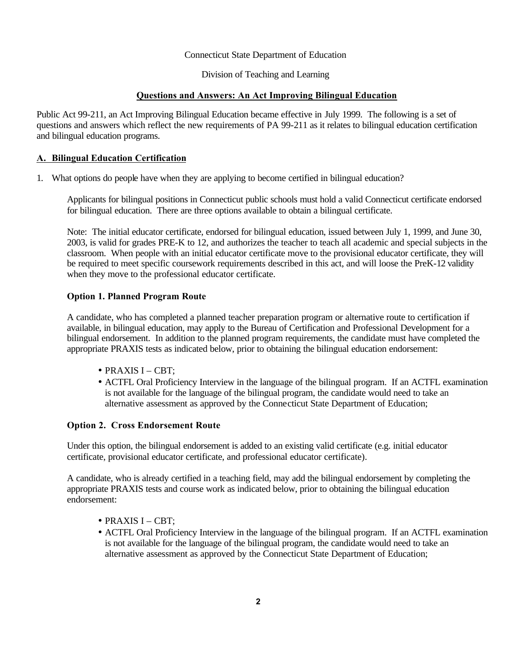#### Connecticut State Department of Education

Division of Teaching and Learning

#### **Questions and Answers: An Act Improving Bilingual Education**

Public Act 99-211, an Act Improving Bilingual Education became effective in July 1999. The following is a set of questions and answers which reflect the new requirements of PA 99-211 as it relates to bilingual education certification and bilingual education programs.

#### **A. Bilingual Education Certification**

1. What options do people have when they are applying to become certified in bilingual education?

Applicants for bilingual positions in Connecticut public schools must hold a valid Connecticut certificate endorsed for bilingual education. There are three options available to obtain a bilingual certificate.

Note: The initial educator certificate, endorsed for bilingual education, issued between July 1, 1999, and June 30, 2003, is valid for grades PRE-K to 12, and authorizes the teacher to teach all academic and special subjects in the classroom. When people with an initial educator certificate move to the provisional educator certificate, they will be required to meet specific coursework requirements described in this act, and will loose the PreK-12 validity when they move to the professional educator certificate.

#### **Option 1. Planned Program Route**

A candidate, who has completed a planned teacher preparation program or alternative route to certification if available, in bilingual education, may apply to the Bureau of Certification and Professional Development for a bilingual endorsement. In addition to the planned program requirements, the candidate must have completed the appropriate PRAXIS tests as indicated below, prior to obtaining the bilingual education endorsement:

- PRAXIS I CBT;
- ACTFL Oral Proficiency Interview in the language of the bilingual program. If an ACTFL examination is not available for the language of the bilingual program, the candidate would need to take an alternative assessment as approved by the Connecticut State Department of Education;

#### **Option 2. Cross Endorsement Route**

Under this option, the bilingual endorsement is added to an existing valid certificate (e.g. initial educator certificate, provisional educator certificate, and professional educator certificate).

A candidate, who is already certified in a teaching field, may add the bilingual endorsement by completing the appropriate PRAXIS tests and course work as indicated below, prior to obtaining the bilingual education endorsement:

- PRAXIS I CBT;
- ACTFL Oral Proficiency Interview in the language of the bilingual program. If an ACTFL examination is not available for the language of the bilingual program, the candidate would need to take an alternative assessment as approved by the Connecticut State Department of Education;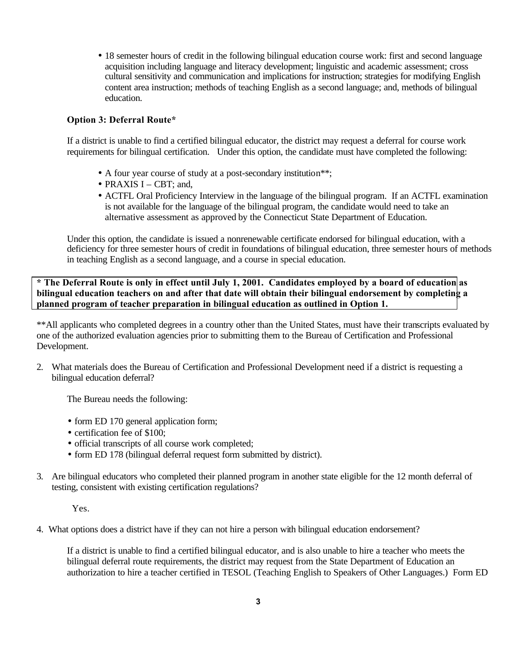• 18 semester hours of credit in the following bilingual education course work: first and second language acquisition including language and literacy development; linguistic and academic assessment; cross cultural sensitivity and communication and implications for instruction; strategies for modifying English content area instruction; methods of teaching English as a second language; and, methods of bilingual education.

## **Option 3: Deferral Route\***

If a district is unable to find a certified bilingual educator, the district may request a deferral for course work requirements for bilingual certification. Under this option, the candidate must have completed the following:

- A four year course of study at a post-secondary institution<sup>\*\*</sup>;
- PRAXIS I CBT: and,
- ACTFL Oral Proficiency Interview in the language of the bilingual program. If an ACTFL examination is not available for the language of the bilingual program, the candidate would need to take an alternative assessment as approved by the Connecticut State Department of Education.

Under this option, the candidate is issued a nonrenewable certificate endorsed for bilingual education, with a deficiency for three semester hours of credit in foundations of bilingual education, three semester hours of methods in teaching English as a second language, and a course in special education.

**\* The Deferral Route is only in effect until July 1, 2001. Candidates employed by a board of education as bilingual education teachers on and after that date will obtain their bilingual endorsement by completing a planned program of teacher preparation in bilingual education as outlined in Option 1.** 

\*\*All applicants who completed degrees in a country other than the United States, must have their transcripts evaluated by one of the authorized evaluation agencies prior to submitting them to the Bureau of Certification and Professional Development.

2. What materials does the Bureau of Certification and Professional Development need if a district is requesting a bilingual education deferral?

The Bureau needs the following:

- form ED 170 general application form;
- certification fee of \$100:
- official transcripts of all course work completed;
- form ED 178 (bilingual deferral request form submitted by district).
- 3. Are bilingual educators who completed their planned program in another state eligible for the 12 month deferral of testing, consistent with existing certification regulations?

Yes.

4. What options does a district have if they can not hire a person with bilingual education endorsement?

If a district is unable to find a certified bilingual educator, and is also unable to hire a teacher who meets the bilingual deferral route requirements, the district may request from the State Department of Education an authorization to hire a teacher certified in TESOL (Teaching English to Speakers of Other Languages.) Form ED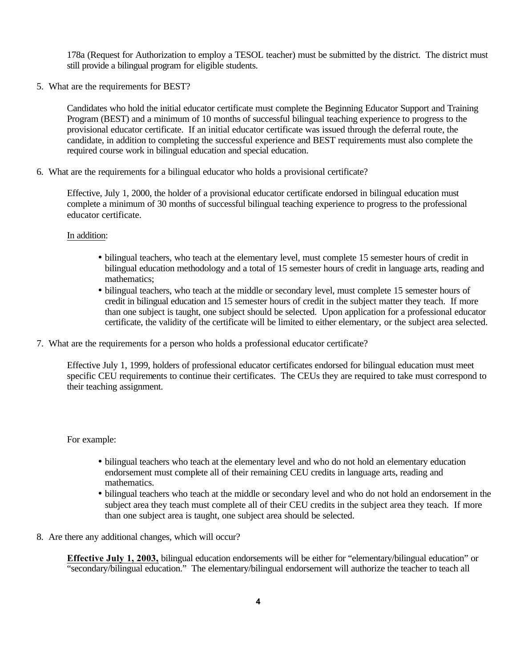178a (Request for Authorization to employ a TESOL teacher) must be submitted by the district. The district must still provide a bilingual program for eligible students.

5. What are the requirements for BEST?

Candidates who hold the initial educator certificate must complete the Beginning Educator Support and Training Program (BEST) and a minimum of 10 months of successful bilingual teaching experience to progress to the provisional educator certificate. If an initial educator certificate was issued through the deferral route, the candidate, in addition to completing the successful experience and BEST requirements must also complete the required course work in bilingual education and special education.

6. What are the requirements for a bilingual educator who holds a provisional certificate?

Effective, July 1, 2000, the holder of a provisional educator certificate endorsed in bilingual education must complete a minimum of 30 months of successful bilingual teaching experience to progress to the professional educator certificate.

#### In addition:

- bilingual teachers, who teach at the elementary level, must complete 15 semester hours of credit in bilingual education methodology and a total of 15 semester hours of credit in language arts, reading and mathematics;
- bilingual teachers, who teach at the middle or secondary level, must complete 15 semester hours of credit in bilingual education and 15 semester hours of credit in the subject matter they teach. If more than one subject is taught, one subject should be selected. Upon application for a professional educator certificate, the validity of the certificate will be limited to either elementary, or the subject area selected.
- 7. What are the requirements for a person who holds a professional educator certificate?

Effective July 1, 1999, holders of professional educator certificates endorsed for bilingual education must meet specific CEU requirements to continue their certificates. The CEUs they are required to take must correspond to their teaching assignment.

For example:

- bilingual teachers who teach at the elementary level and who do not hold an elementary education endorsement must complete all of their remaining CEU credits in language arts, reading and mathematics.
- bilingual teachers who teach at the middle or secondary level and who do not hold an endorsement in the subject area they teach must complete all of their CEU credits in the subject area they teach. If more than one subject area is taught, one subject area should be selected.
- 8. Are there any additional changes, which will occur?

**Effective July 1, 2003,** bilingual education endorsements will be either for "elementary/bilingual education" or "secondary/bilingual education." The elementary/bilingual endorsement will authorize the teacher to teach all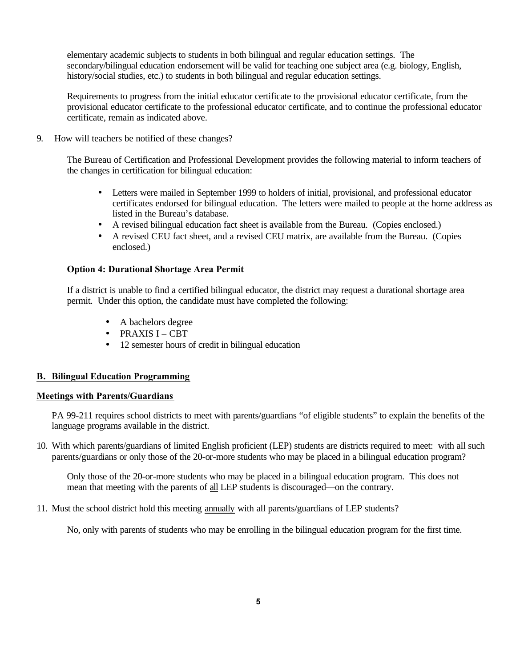elementary academic subjects to students in both bilingual and regular education settings. The secondary/bilingual education endorsement will be valid for teaching one subject area (e.g. biology, English, history/social studies, etc.) to students in both bilingual and regular education settings.

Requirements to progress from the initial educator certificate to the provisional educator certificate, from the provisional educator certificate to the professional educator certificate, and to continue the professional educator certificate, remain as indicated above.

9. How will teachers be notified of these changes?

The Bureau of Certification and Professional Development provides the following material to inform teachers of the changes in certification for bilingual education:

- Letters were mailed in September 1999 to holders of initial, provisional, and professional educator certificates endorsed for bilingual education. The letters were mailed to people at the home address as listed in the Bureau's database.
- A revised bilingual education fact sheet is available from the Bureau. (Copies enclosed.)
- A revised CEU fact sheet, and a revised CEU matrix, are available from the Bureau. (Copies enclosed.)

#### **Option 4: Durational Shortage Area Permit**

If a district is unable to find a certified bilingual educator, the district may request a durational shortage area permit. Under this option, the candidate must have completed the following:

- A bachelors degree
- PRAXIS I CBT
- 12 semester hours of credit in bilingual education

#### **B. Bilingual Education Programming**

#### **Meetings with Parents/Guardians**

PA 99-211 requires school districts to meet with parents/guardians "of eligible students" to explain the benefits of the language programs available in the district.

10. With which parents/guardians of limited English proficient (LEP) students are districts required to meet: with all such parents/guardians or only those of the 20-or-more students who may be placed in a bilingual education program?

Only those of the 20-or-more students who may be placed in a bilingual education program. This does not mean that meeting with the parents of all LEP students is discouraged—on the contrary.

11. Must the school district hold this meeting annually with all parents/guardians of LEP students?

No, only with parents of students who may be enrolling in the bilingual education program for the first time.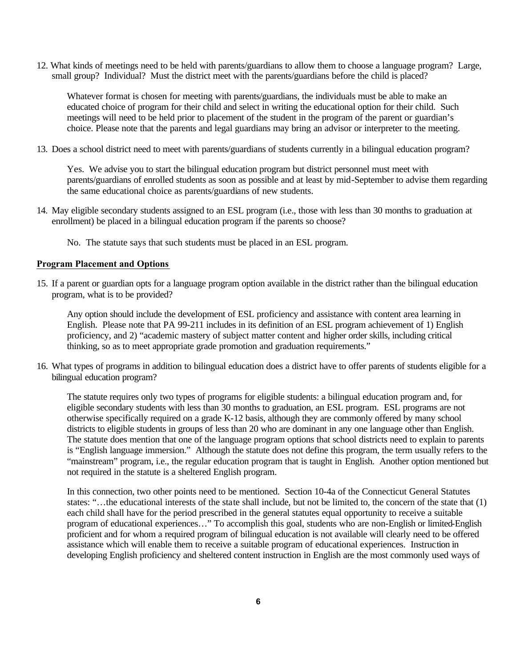12. What kinds of meetings need to be held with parents/guardians to allow them to choose a language program? Large, small group? Individual? Must the district meet with the parents/guardians before the child is placed?

Whatever format is chosen for meeting with parents/guardians, the individuals must be able to make an educated choice of program for their child and select in writing the educational option for their child. Such meetings will need to be held prior to placement of the student in the program of the parent or guardian's choice. Please note that the parents and legal guardians may bring an advisor or interpreter to the meeting.

13. Does a school district need to meet with parents/guardians of students currently in a bilingual education program?

Yes. We advise you to start the bilingual education program but district personnel must meet with parents/guardians of enrolled students as soon as possible and at least by mid-September to advise them regarding the same educational choice as parents/guardians of new students.

14. May eligible secondary students assigned to an ESL program (i.e., those with less than 30 months to graduation at enrollment) be placed in a bilingual education program if the parents so choose?

No. The statute says that such students must be placed in an ESL program.

#### **Program Placement and Options**

15. If a parent or guardian opts for a language program option available in the district rather than the bilingual education program, what is to be provided?

Any option should include the development of ESL proficiency and assistance with content area learning in English. Please note that PA 99-211 includes in its definition of an ESL program achievement of 1) English proficiency, and 2) "academic mastery of subject matter content and higher order skills, including critical thinking, so as to meet appropriate grade promotion and graduation requirements."

16. What types of programs in addition to bilingual education does a district have to offer parents of students eligible for a bilingual education program?

The statute requires only two types of programs for eligible students: a bilingual education program and, for eligible secondary students with less than 30 months to graduation, an ESL program. ESL programs are not otherwise specifically required on a grade K-12 basis, although they are commonly offered by many school districts to eligible students in groups of less than 20 who are dominant in any one language other than English. The statute does mention that one of the language program options that school districts need to explain to parents is "English language immersion." Although the statute does not define this program, the term usually refers to the "mainstream" program, i.e., the regular education program that is taught in English. Another option mentioned but not required in the statute is a sheltered English program.

In this connection, two other points need to be mentioned. Section 10-4a of the Connecticut General Statutes states: "…the educational interests of the state shall include, but not be limited to, the concern of the state that (1) each child shall have for the period prescribed in the general statutes equal opportunity to receive a suitable program of educational experiences…" To accomplish this goal, students who are non-English or limited-English proficient and for whom a required program of bilingual education is not available will clearly need to be offered assistance which will enable them to receive a suitable program of educational experiences. Instruction in developing English proficiency and sheltered content instruction in English are the most commonly used ways of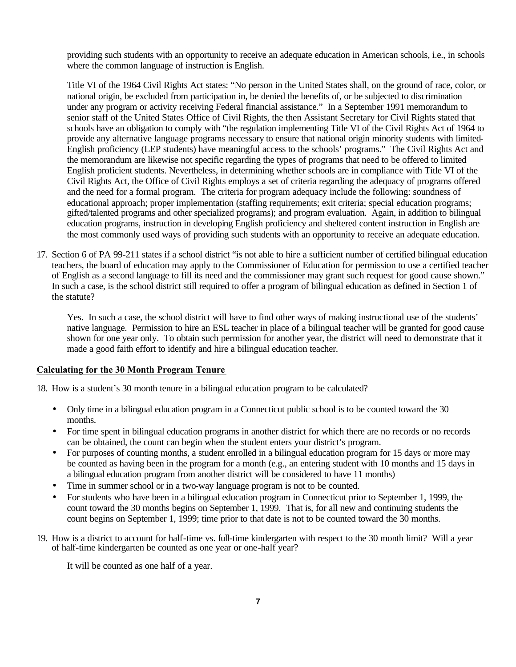providing such students with an opportunity to receive an adequate education in American schools, i.e., in schools where the common language of instruction is English.

Title VI of the 1964 Civil Rights Act states: "No person in the United States shall, on the ground of race, color, or national origin, be excluded from participation in, be denied the benefits of, or be subjected to discrimination under any program or activity receiving Federal financial assistance." In a September 1991 memorandum to senior staff of the United States Office of Civil Rights, the then Assistant Secretary for Civil Rights stated that schools have an obligation to comply with "the regulation implementing Title VI of the Civil Rights Act of 1964 to provide any alternative language programs necessary to ensure that national origin minority students with limited-English proficiency (LEP students) have meaningful access to the schools' programs." The Civil Rights Act and the memorandum are likewise not specific regarding the types of programs that need to be offered to limited English proficient students. Nevertheless, in determining whether schools are in compliance with Title VI of the Civil Rights Act, the Office of Civil Rights employs a set of criteria regarding the adequacy of programs offered and the need for a formal program. The criteria for program adequacy include the following: soundness of educational approach; proper implementation (staffing requirements; exit criteria; special education programs; gifted/talented programs and other specialized programs); and program evaluation. Again, in addition to bilingual education programs, instruction in developing English proficiency and sheltered content instruction in English are the most commonly used ways of providing such students with an opportunity to receive an adequate education.

17. Section 6 of PA 99-211 states if a school district "is not able to hire a sufficient number of certified bilingual education teachers, the board of education may apply to the Commissioner of Education for permission to use a certified teacher of English as a second language to fill its need and the commissioner may grant such request for good cause shown." In such a case, is the school district still required to offer a program of bilingual education as defined in Section 1 of the statute?

Yes. In such a case, the school district will have to find other ways of making instructional use of the students' native language. Permission to hire an ESL teacher in place of a bilingual teacher will be granted for good cause shown for one year only. To obtain such permission for another year, the district will need to demonstrate that it made a good faith effort to identify and hire a bilingual education teacher.

#### **Calculating for the 30 Month Program Tenure**

18. How is a student's 30 month tenure in a bilingual education program to be calculated?

- Only time in a bilingual education program in a Connecticut public school is to be counted toward the 30 months.
- For time spent in bilingual education programs in another district for which there are no records or no records can be obtained, the count can begin when the student enters your district's program.
- For purposes of counting months, a student enrolled in a bilingual education program for 15 days or more may be counted as having been in the program for a month (e.g., an entering student with 10 months and 15 days in a bilingual education program from another district will be considered to have 11 months)
- Time in summer school or in a two-way language program is not to be counted.
- For students who have been in a bilingual education program in Connecticut prior to September 1, 1999, the count toward the 30 months begins on September 1, 1999. That is, for all new and continuing students the count begins on September 1, 1999; time prior to that date is not to be counted toward the 30 months.
- 19. How is a district to account for half-time vs. full-time kindergarten with respect to the 30 month limit? Will a year of half-time kindergarten be counted as one year or one-half year?

It will be counted as one half of a year.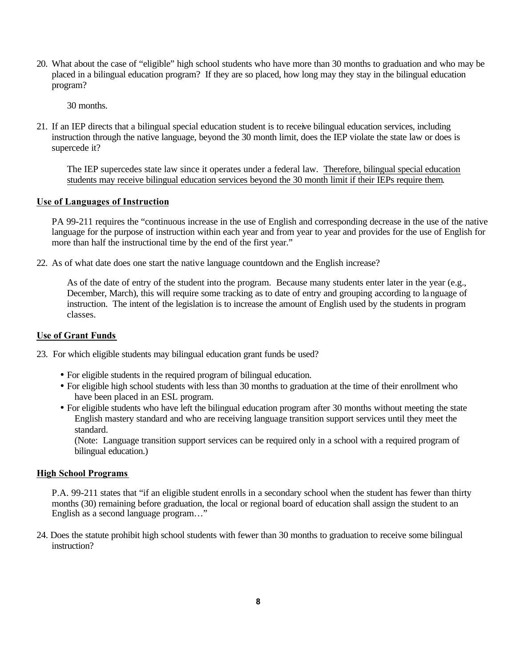20. What about the case of "eligible" high school students who have more than 30 months to graduation and who may be placed in a bilingual education program? If they are so placed, how long may they stay in the bilingual education program?

30 months.

21. If an IEP directs that a bilingual special education student is to receive bilingual education services, including instruction through the native language, beyond the 30 month limit, does the IEP violate the state law or does is supercede it?

The IEP supercedes state law since it operates under a federal law. Therefore, bilingual special education students may receive bilingual education services beyond the 30 month limit if their IEPs require them.

#### **Use of Languages of Instruction**

PA 99-211 requires the "continuous increase in the use of English and corresponding decrease in the use of the native language for the purpose of instruction within each year and from year to year and provides for the use of English for more than half the instructional time by the end of the first year."

22. As of what date does one start the native language countdown and the English increase?

As of the date of entry of the student into the program. Because many students enter later in the year (e.g., December, March), this will require some tracking as to date of entry and grouping according to language of instruction. The intent of the legislation is to increase the amount of English used by the students in program classes.

#### **Use of Grant Funds**

- 23. For which eligible students may bilingual education grant funds be used?
	- For eligible students in the required program of bilingual education.
	- For eligible high school students with less than 30 months to graduation at the time of their enrollment who have been placed in an ESL program.
	- For eligible students who have left the bilingual education program after 30 months without meeting the state English mastery standard and who are receiving language transition support services until they meet the standard.

(Note: Language transition support services can be required only in a school with a required program of bilingual education.)

#### **High School Programs**

P.A. 99-211 states that "if an eligible student enrolls in a secondary school when the student has fewer than thirty months (30) remaining before graduation, the local or regional board of education shall assign the student to an English as a second language program…"

24. Does the statute prohibit high school students with fewer than 30 months to graduation to receive some bilingual instruction?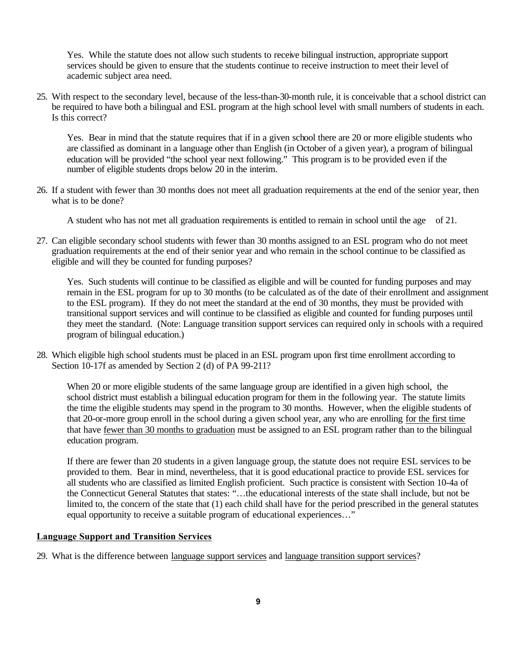Yes. While the statute does not allow such students to receive bilingual instruction, appropriate support services should be given to ensure that the students continue to receive instruction to meet their level of academic subject area need.

25. With respect to the secondary level, because of the less-than-30-month rule, it is conceivable that a school district can be required to have both a bilingual and ESL program at the high school level with small numbers of students in each. Is this correct?

Yes. Bear in mind that the statute requires that if in a given school there are 20 or more eligible students who are classified as dominant in a language other than English (in October of a given year), a program of bilingual education will be provided "the school year next following." This program is to be provided even if the number of eligible students drops below 20 in the interim.

26. If a student with fewer than 30 months does not meet all graduation requirements at the end of the senior year, then what is to be done?

A student who has not met all graduation requirements is entitled to remain in school until the age of 21.

27. Can eligible secondary school students with fewer than 30 months assigned to an ESL program who do not meet graduation requirements at the end of their senior year and who remain in the school continue to be classified as eligible and will they be counted for funding purposes?

Yes. Such students will continue to be classified as eligible and will be counted for funding purposes and may remain in the ESL program for up to 30 months (to be calculated as of the date of their enrollment and assignment to the ESL program). If they do not meet the standard at the end of 30 months, they must be provided with transitional support services and will continue to be classified as eligible and counted for funding purposes until they meet the standard. (Note: Language transition support services can required only in schools with a required program of bilingual education.)

28. Which eligible high school students must be placed in an ESL program upon first time enrollment according to Section 10-17f as amended by Section 2 (d) of PA 99-211?

When 20 or more eligible students of the same language group are identified in a given high school, the school district must establish a bilingual education program for them in the following year. The statute limits the time the eligible students may spend in the program to 30 months. However, when the eligible students of that 20-or-more group enroll in the school during a given school year, any who are enrolling for the first time that have fewer than 30 months to graduation must be assigned to an ESL program rather than to the bilingual education program.

If there are fewer than 20 students in a given language group, the statute does not require ESL services to be provided to them. Bear in mind, nevertheless, that it is good educational practice to provide ESL services for all students who are classified as limited English proficient. Such practice is consistent with Section 10-4a of the Connecticut General Statutes that states: "…the educational interests of the state shall include, but not be limited to, the concern of the state that (1) each child shall have for the period prescribed in the general statutes equal opportunity to receive a suitable program of educational experiences…"

#### **Language Support and Transition Services**

29. What is the difference between language support services and language transition support services?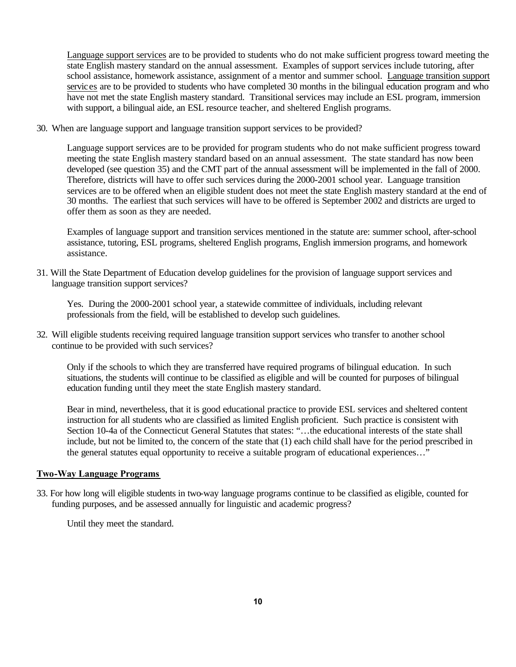Language support services are to be provided to students who do not make sufficient progress toward meeting the state English mastery standard on the annual assessment. Examples of support services include tutoring, after school assistance, homework assistance, assignment of a mentor and summer school. Language transition support services are to be provided to students who have completed 30 months in the bilingual education program and who have not met the state English mastery standard. Transitional services may include an ESL program, immersion with support, a bilingual aide, an ESL resource teacher, and sheltered English programs.

30. When are language support and language transition support services to be provided?

Language support services are to be provided for program students who do not make sufficient progress toward meeting the state English mastery standard based on an annual assessment. The state standard has now been developed (see question 35) and the CMT part of the annual assessment will be implemented in the fall of 2000. Therefore, districts will have to offer such services during the 2000-2001 school year. Language transition services are to be offered when an eligible student does not meet the state English mastery standard at the end of 30 months. The earliest that such services will have to be offered is September 2002 and districts are urged to offer them as soon as they are needed.

Examples of language support and transition services mentioned in the statute are: summer school, after-school assistance, tutoring, ESL programs, sheltered English programs, English immersion programs, and homework assistance.

31. Will the State Department of Education develop guidelines for the provision of language support services and language transition support services?

Yes. During the 2000-2001 school year, a statewide committee of individuals, including relevant professionals from the field, will be established to develop such guidelines.

32. Will eligible students receiving required language transition support services who transfer to another school continue to be provided with such services?

Only if the schools to which they are transferred have required programs of bilingual education. In such situations, the students will continue to be classified as eligible and will be counted for purposes of bilingual education funding until they meet the state English mastery standard.

Bear in mind, nevertheless, that it is good educational practice to provide ESL services and sheltered content instruction for all students who are classified as limited English proficient. Such practice is consistent with Section 10-4a of the Connecticut General Statutes that states: "…the educational interests of the state shall include, but not be limited to, the concern of the state that (1) each child shall have for the period prescribed in the general statutes equal opportunity to receive a suitable program of educational experiences…"

#### **Two-Way Language Programs**

33. For how long will eligible students in two-way language programs continue to be classified as eligible, counted for funding purposes, and be assessed annually for linguistic and academic progress?

Until they meet the standard.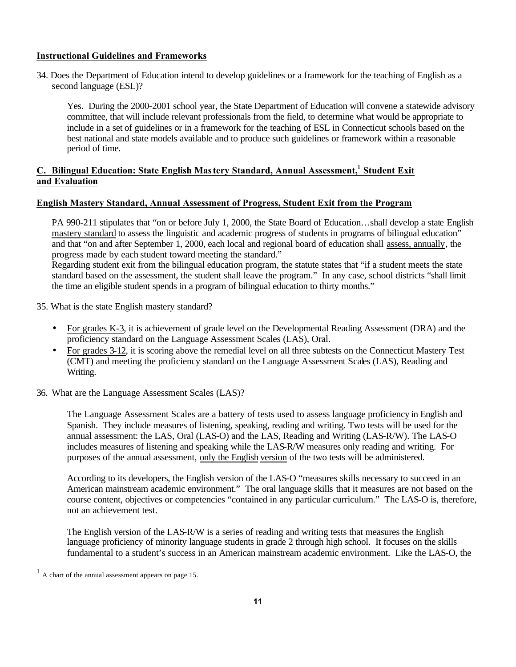## **Instructional Guidelines and Frameworks**

34. Does the Department of Education intend to develop guidelines or a framework for the teaching of English as a second language (ESL)?

Yes. During the 2000-2001 school year, the State Department of Education will convene a statewide advisory committee, that will include relevant professionals from the field, to determine what would be appropriate to include in a set of guidelines or in a framework for the teaching of ESL in Connecticut schools based on the best national and state models available and to produce such guidelines or framework within a reasonable period of time.

# **C. Bilingual Education: State English Mas tery Standard, Annual Assessment,<sup>1</sup> Student Exit and Evaluation**

#### **English Mastery Standard, Annual Assessment of Progress, Student Exit from the Program**

PA 990-211 stipulates that "on or before July 1, 2000, the State Board of Education…shall develop a state English mastery standard to assess the linguistic and academic progress of students in programs of bilingual education" and that "on and after September 1, 2000, each local and regional board of education shall assess, annually, the progress made by each student toward meeting the standard."

Regarding student exit from the bilingual education program, the statute states that "if a student meets the state standard based on the assessment, the student shall leave the program." In any case, school districts "shall limit the time an eligible student spends in a program of bilingual education to thirty months."

35. What is the state English mastery standard?

- For grades K-3, it is achievement of grade level on the Developmental Reading Assessment (DRA) and the proficiency standard on the Language Assessment Scales (LAS), Oral.
- For grades 3-12, it is scoring above the remedial level on all three subtests on the Connecticut Mastery Test (CMT) and meeting the proficiency standard on the Language Assessment Scales (LAS), Reading and Writing.
- 36. What are the Language Assessment Scales (LAS)?

The Language Assessment Scales are a battery of tests used to assess language proficiency in English and Spanish. They include measures of listening, speaking, reading and writing. Two tests will be used for the annual assessment: the LAS, Oral (LAS-O) and the LAS, Reading and Writing (LAS-R/W). The LAS-O includes measures of listening and speaking while the LAS-R/W measures only reading and writing. For purposes of the annual assessment, only the English version of the two tests will be administered.

According to its developers, the English version of the LAS-O "measures skills necessary to succeed in an American mainstream academic environment." The oral language skills that it measures are not based on the course content, objectives or competencies "contained in any particular curriculum." The LAS-O is, therefore, not an achievement test.

The English version of the LAS-R/W is a series of reading and writing tests that measures the English language proficiency of minority language students in grade 2 through high school. It focuses on the skills fundamental to a student's success in an American mainstream academic environment. Like the LAS-O, the

<sup>1</sup>A chart of the annual assessment appears on page 15.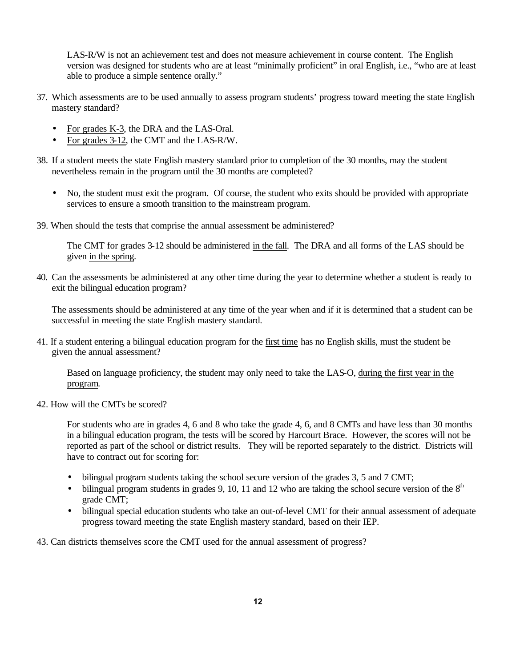LAS-R/W is not an achievement test and does not measure achievement in course content. The English version was designed for students who are at least "minimally proficient" in oral English, i.e., "who are at least able to produce a simple sentence orally."

- 37. Which assessments are to be used annually to assess program students' progress toward meeting the state English mastery standard?
	- For grades K-3, the DRA and the LAS-Oral.
	- For grades 3-12, the CMT and the LAS-R/W.
- 38. If a student meets the state English mastery standard prior to completion of the 30 months, may the student nevertheless remain in the program until the 30 months are completed?
	- No, the student must exit the program. Of course, the student who exits should be provided with appropriate services to ensure a smooth transition to the mainstream program.
- 39. When should the tests that comprise the annual assessment be administered?

The CMT for grades 3-12 should be administered in the fall. The DRA and all forms of the LAS should be given in the spring.

40. Can the assessments be administered at any other time during the year to determine whether a student is ready to exit the bilingual education program?

The assessments should be administered at any time of the year when and if it is determined that a student can be successful in meeting the state English mastery standard.

41. If a student entering a bilingual education program for the first time has no English skills, must the student be given the annual assessment?

Based on language proficiency, the student may only need to take the LAS-O, during the first year in the program.

42. How will the CMTs be scored?

For students who are in grades 4, 6 and 8 who take the grade 4, 6, and 8 CMTs and have less than 30 months in a bilingual education program, the tests will be scored by Harcourt Brace. However, the scores will not be reported as part of the school or district results. They will be reported separately to the district. Districts will have to contract out for scoring for:

- bilingual program students taking the school secure version of the grades 3, 5 and 7 CMT;
- bilingual program students in grades 9, 10, 11 and 12 who are taking the school secure version of the  $8<sup>th</sup>$ grade CMT;
- bilingual special education students who take an out-of-level CMT for their annual assessment of adequate progress toward meeting the state English mastery standard, based on their IEP.

43. Can districts themselves score the CMT used for the annual assessment of progress?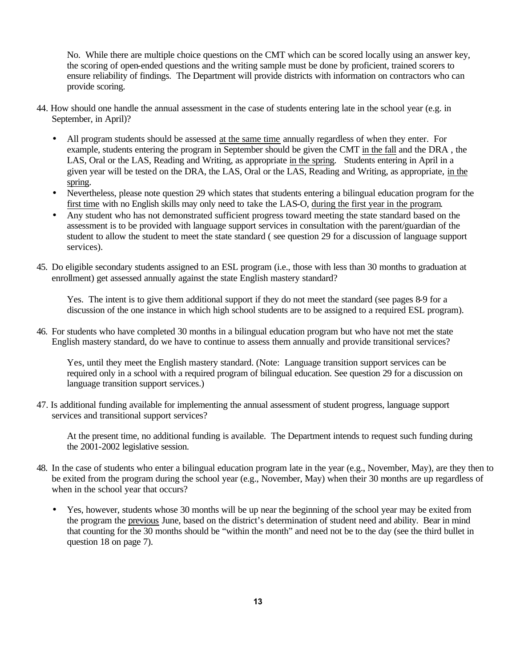No. While there are multiple choice questions on the CMT which can be scored locally using an answer key, the scoring of open-ended questions and the writing sample must be done by proficient, trained scorers to ensure reliability of findings. The Department will provide districts with information on contractors who can provide scoring.

- 44. How should one handle the annual assessment in the case of students entering late in the school year (e.g. in September, in April)?
	- All program students should be assessed at the same time annually regardless of when they enter. For example, students entering the program in September should be given the CMT in the fall and the DRA , the LAS, Oral or the LAS, Reading and Writing, as appropriate in the spring. Students entering in April in a given year will be tested on the DRA, the LAS, Oral or the LAS, Reading and Writing, as appropriate, in the spring.
	- Nevertheless, please note question 29 which states that students entering a bilingual education program for the first time with no English skills may only need to take the LAS-O, during the first year in the program.
	- Any student who has not demonstrated sufficient progress toward meeting the state standard based on the assessment is to be provided with language support services in consultation with the parent/guardian of the student to allow the student to meet the state standard ( see question 29 for a discussion of language support services).
- 45. Do eligible secondary students assigned to an ESL program (i.e., those with less than 30 months to graduation at enrollment) get assessed annually against the state English mastery standard?

Yes. The intent is to give them additional support if they do not meet the standard (see pages 8-9 for a discussion of the one instance in which high school students are to be assigned to a required ESL program).

46. For students who have completed 30 months in a bilingual education program but who have not met the state English mastery standard, do we have to continue to assess them annually and provide transitional services?

Yes, until they meet the English mastery standard. (Note: Language transition support services can be required only in a school with a required program of bilingual education. See question 29 for a discussion on language transition support services.)

47. Is additional funding available for implementing the annual assessment of student progress, language support services and transitional support services?

At the present time, no additional funding is available. The Department intends to request such funding during the 2001-2002 legislative session.

- 48. In the case of students who enter a bilingual education program late in the year (e.g., November, May), are they then to be exited from the program during the school year (e.g., November, May) when their 30 months are up regardless of when in the school year that occurs?
	- Yes, however, students whose 30 months will be up near the beginning of the school year may be exited from the program the previous June, based on the district's determination of student need and ability. Bear in mind that counting for the 30 months should be "within the month" and need not be to the day (see the third bullet in question 18 on page 7).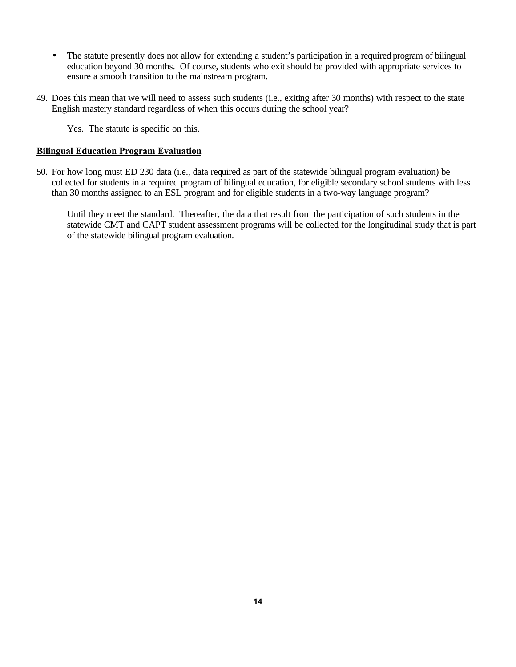- The statute presently does not allow for extending a student's participation in a required program of bilingual education beyond 30 months. Of course, students who exit should be provided with appropriate services to ensure a smooth transition to the mainstream program.
- 49. Does this mean that we will need to assess such students (i.e., exiting after 30 months) with respect to the state English mastery standard regardless of when this occurs during the school year?

Yes. The statute is specific on this.

#### **Bilingual Education Program Evaluation**

50. For how long must ED 230 data (i.e., data required as part of the statewide bilingual program evaluation) be collected for students in a required program of bilingual education, for eligible secondary school students with less than 30 months assigned to an ESL program and for eligible students in a two-way language program?

Until they meet the standard. Thereafter, the data that result from the participation of such students in the statewide CMT and CAPT student assessment programs will be collected for the longitudinal study that is part of the statewide bilingual program evaluation.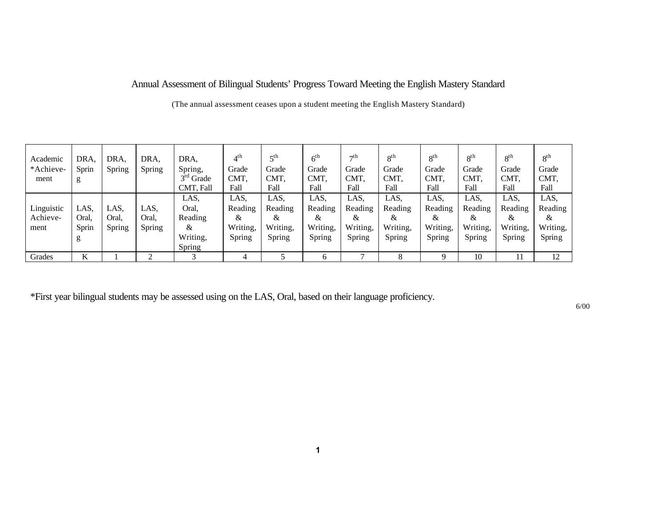# Annual Assessment of Bilingual Students' Progress Toward Meeting the English Mastery Standard

(The annual assessment ceases upon a student meeting the English Mastery Standard)

| Academic   | DRA,  | DRA,   | DRA.   | DRA.        | $4^{\text{th}}$ | $\epsilon$ <sup>th</sup> | 6 <sup>th</sup> | $\neg$ th | 8 <sup>th</sup> | 8 <sup>th</sup> | 8 <sup>th</sup> | 8 <sup>th</sup> | 8 <sup>th</sup> |
|------------|-------|--------|--------|-------------|-----------------|--------------------------|-----------------|-----------|-----------------|-----------------|-----------------|-----------------|-----------------|
| *Achieve-  | Sprin | Spring | Spring | Spring,     | Grade           | Grade                    | Grade           | Grade     | Grade           | Grade           | Grade           | Grade           | Grade           |
| ment       | g     |        |        | $3rd$ Grade | CMT,            | CMT.                     | CMT,            | CMT.      | CMT,            | CMT,            | CMT,            | <b>CMT</b>      | CMT,            |
|            |       |        |        | CMT, Fall   | Fall            | Fall                     | Fall            | Fall      | Fall            | Fall            | Fall            | Fall            | Fall            |
|            |       |        |        | LAS.        | LAS,            | LAS,                     | LAS,            | LAS,      | LAS.            | LAS,            | LAS,            | LAS.            | LAS,            |
| Linguistic | LAS.  | LAS.   | LAS.   | Oral.       | Reading         | Reading                  | Reading         | Reading   | Reading         | Reading         | Reading         | Reading         | Reading         |
| Achieve-   | Oral. | Oral,  | Oral.  | Reading     | &               | &                        | &               | &         | &               | &               | &               | &               | &               |
| ment       | Sprin | Spring | Spring | &           | Writing,        | Writing,                 | Writing,        | Writing,  | Writing,        | Writing,        | Writing,        | Writing,        | Writing,        |
|            | g     |        |        | Writing,    | Spring          | Spring                   | Spring          | Spring    | Spring          | Spring          | Spring          | Spring          | Spring          |
|            |       |        |        | Spring      |                 |                          |                 |           |                 |                 |                 |                 |                 |
| Grades     | K     |        | $\sim$ |             |                 |                          | h               |           | 8               | Q               | 10              | 11              | 12              |

\*First year bilingual students may be assessed using on the LAS, Oral, based on their language proficiency.

6/00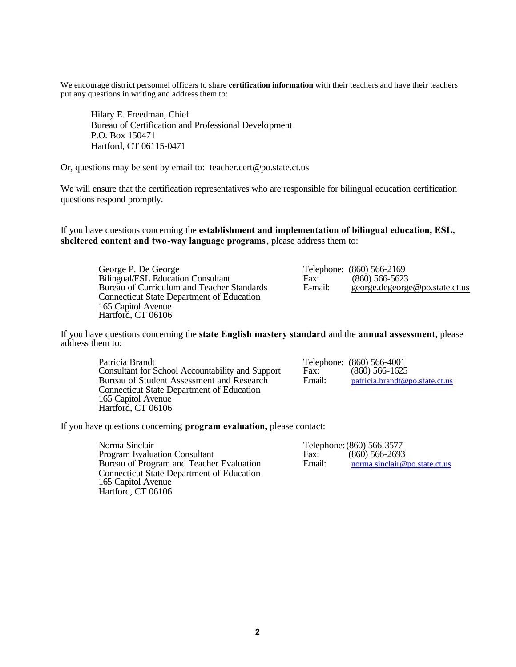We encourage district personnel officers to share **certification information** with their teachers and have their teachers put any questions in writing and address them to:

Hilary E. Freedman, Chief Bureau of Certification and Professional Development P.O. Box 150471 Hartford, CT 06115-0471

Or, questions may be sent by email to: teacher.cert@po.state.ct.us

We will ensure that the certification representatives who are responsible for bilingual education certification questions respond promptly.

If you have questions concerning the **establishment and implementation of bilingual education, ESL, sheltered content and two-way language programs** , please address them to:

George P. De George Consultant Telephone: (860) 566-2169<br>Bilingual/ESL Education Consultant Fax: (860) 566-5623 Bureau of Curriculum and Teacher Standards Connecticut State Department of Education 165 Capitol Avenue Hartford, CT 06106

Bilingual/ESL Education Consultant Fax: (860) 566-5623<br>Bureau of Curriculum and Teacher Standards E-mail: george.degeorge@po.state.ct.us

If you have questions concerning the **state English mastery standard** and the **annual assessment**, please address them to:

Patricia Brandt<br>
Consultant for School Accountability and Support<br>
Fax: (860) 566-1625 Consultant for School Accountability and Support Fax: (860) 566-1625<br>Bureau of Student Assessment and Research Email: patricia.brandt@po.state.ct.us Bureau of Student Assessment and Research Connecticut State Department of Education 165 Capitol Avenue Hartford, CT 06106

If you have questions concerning **program evaluation,** please contact:

Norma Sinclair<br>
Program Evaluation Consultant<br>
Fax: (860) 566-2693 Program Evaluation Consultant Fax: (860) 566-2693<br>Bureau of Program and Teacher Evaluation Email: norma.sinclair@po.state.ct.us Bureau of Program and Teacher Evaluation Connecticut State Department of Education 165 Capitol Avenue Hartford, CT 06106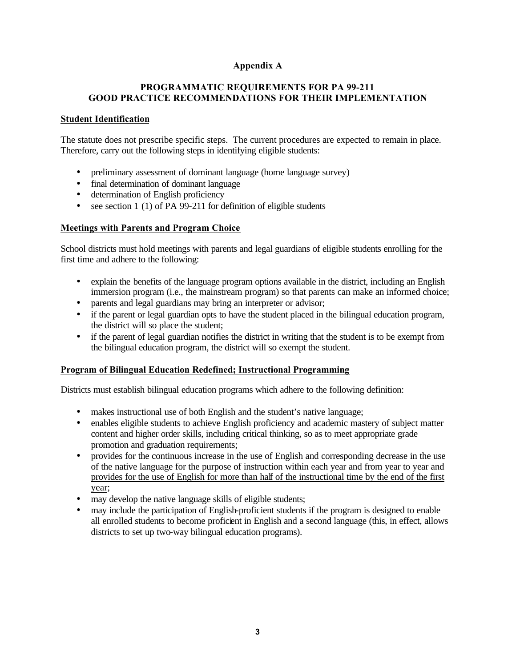# **Appendix A**

## **PROGRAMMATIC REQUIREMENTS FOR PA 99-211 GOOD PRACTICE RECOMMENDATIONS FOR THEIR IMPLEMENTATION**

## **Student Identification**

The statute does not prescribe specific steps. The current procedures are expected to remain in place. Therefore, carry out the following steps in identifying eligible students:

- preliminary assessment of dominant language (home language survey)
- final determination of dominant language
- determination of English proficiency
- see section 1 (1) of PA 99-211 for definition of eligible students

## **Meetings with Parents and Program Choice**

School districts must hold meetings with parents and legal guardians of eligible students enrolling for the first time and adhere to the following:

- explain the benefits of the language program options available in the district, including an English immersion program (i.e., the mainstream program) so that parents can make an informed choice;
- parents and legal guardians may bring an interpreter or advisor;
- if the parent or legal guardian opts to have the student placed in the bilingual education program, the district will so place the student;
- if the parent of legal guardian notifies the district in writing that the student is to be exempt from the bilingual education program, the district will so exempt the student.

## **Program of Bilingual Education Redefined; Instructional Programming**

Districts must establish bilingual education programs which adhere to the following definition:

- makes instructional use of both English and the student's native language;
- enables eligible students to achieve English proficiency and academic mastery of subject matter content and higher order skills, including critical thinking, so as to meet appropriate grade promotion and graduation requirements;
- provides for the continuous increase in the use of English and corresponding decrease in the use of the native language for the purpose of instruction within each year and from year to year and provides for the use of English for more than half of the instructional time by the end of the first year;
- may develop the native language skills of eligible students;
- may include the participation of English-proficient students if the program is designed to enable all enrolled students to become proficient in English and a second language (this, in effect, allows districts to set up two-way bilingual education programs).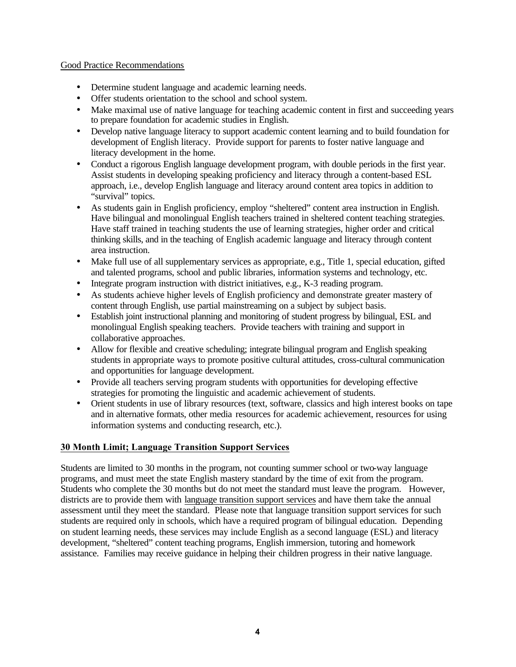## Good Practice Recommendations

- Determine student language and academic learning needs.
- Offer students orientation to the school and school system.
- Make maximal use of native language for teaching academic content in first and succeeding years to prepare foundation for academic studies in English.
- Develop native language literacy to support academic content learning and to build foundation for development of English literacy. Provide support for parents to foster native language and literacy development in the home.
- Conduct a rigorous English language development program, with double periods in the first year. Assist students in developing speaking proficiency and literacy through a content-based ESL approach, i.e., develop English language and literacy around content area topics in addition to "survival" topics.
- As students gain in English proficiency, employ "sheltered" content area instruction in English. Have bilingual and monolingual English teachers trained in sheltered content teaching strategies. Have staff trained in teaching students the use of learning strategies, higher order and critical thinking skills, and in the teaching of English academic language and literacy through content area instruction.
- Make full use of all supplementary services as appropriate, e.g., Title 1, special education, gifted and talented programs, school and public libraries, information systems and technology, etc.
- Integrate program instruction with district initiatives, e.g., K-3 reading program.
- As students achieve higher levels of English proficiency and demonstrate greater mastery of content through English, use partial mainstreaming on a subject by subject basis.
- Establish joint instructional planning and monitoring of student progress by bilingual, ESL and monolingual English speaking teachers. Provide teachers with training and support in collaborative approaches.
- Allow for flexible and creative scheduling; integrate bilingual program and English speaking students in appropriate ways to promote positive cultural attitudes, cross-cultural communication and opportunities for language development.
- Provide all teachers serving program students with opportunities for developing effective strategies for promoting the linguistic and academic achievement of students.
- Orient students in use of library resources (text, software, classics and high interest books on tape and in alternative formats, other media resources for academic achievement, resources for using information systems and conducting research, etc.).

# **30 Month Limit; Language Transition Support Services**

Students are limited to 30 months in the program, not counting summer school or two-way language programs, and must meet the state English mastery standard by the time of exit from the program. Students who complete the 30 months but do not meet the standard must leave the program. However, districts are to provide them with language transition support services and have them take the annual assessment until they meet the standard. Please note that language transition support services for such students are required only in schools, which have a required program of bilingual education. Depending on student learning needs, these services may include English as a second language (ESL) and literacy development, "sheltered" content teaching programs, English immersion, tutoring and homework assistance. Families may receive guidance in helping their children progress in their native language.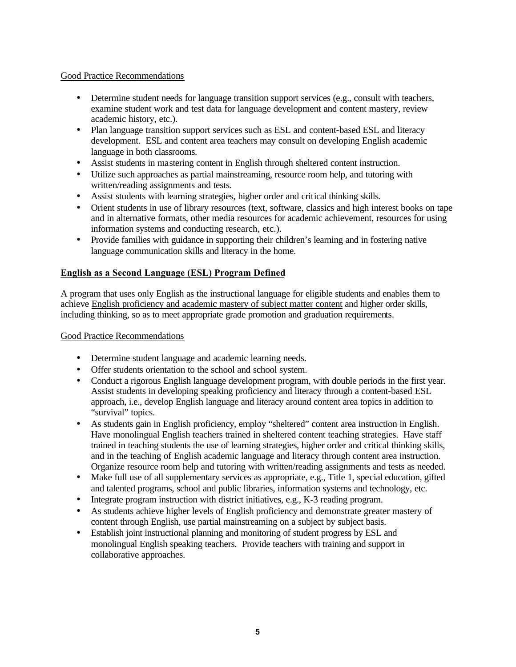## Good Practice Recommendations

- Determine student needs for language transition support services (e.g., consult with teachers, examine student work and test data for language development and content mastery, review academic history, etc.).
- Plan language transition support services such as ESL and content-based ESL and literacy development. ESL and content area teachers may consult on developing English academic language in both classrooms.
- Assist students in mastering content in English through sheltered content instruction.
- Utilize such approaches as partial mainstreaming, resource room help, and tutoring with written/reading assignments and tests.
- Assist students with learning strategies, higher order and critical thinking skills.
- Orient students in use of library resources (text, software, classics and high interest books on tape and in alternative formats, other media resources for academic achievement, resources for using information systems and conducting research, etc.).
- Provide families with guidance in supporting their children's learning and in fostering native language communication skills and literacy in the home.

# **English as a Second Language (ESL) Program Defined**

A program that uses only English as the instructional language for eligible students and enables them to achieve English proficiency and academic mastery of subject matter content and higher order skills, including thinking, so as to meet appropriate grade promotion and graduation requirements.

Good Practice Recommendations

- Determine student language and academic learning needs.
- Offer students orientation to the school and school system.
- Conduct a rigorous English language development program, with double periods in the first year. Assist students in developing speaking proficiency and literacy through a content-based ESL approach, i.e., develop English language and literacy around content area topics in addition to "survival" topics.
- As students gain in English proficiency, employ "sheltered" content area instruction in English. Have monolingual English teachers trained in sheltered content teaching strategies. Have staff trained in teaching students the use of learning strategies, higher order and critical thinking skills, and in the teaching of English academic language and literacy through content area instruction. Organize resource room help and tutoring with written/reading assignments and tests as needed.
- Make full use of all supplementary services as appropriate, e.g., Title 1, special education, gifted and talented programs, school and public libraries, information systems and technology, etc.
- Integrate program instruction with district initiatives, e.g., K-3 reading program.
- As students achieve higher levels of English proficiency and demonstrate greater mastery of content through English, use partial mainstreaming on a subject by subject basis.
- Establish joint instructional planning and monitoring of student progress by ESL and monolingual English speaking teachers. Provide teachers with training and support in collaborative approaches.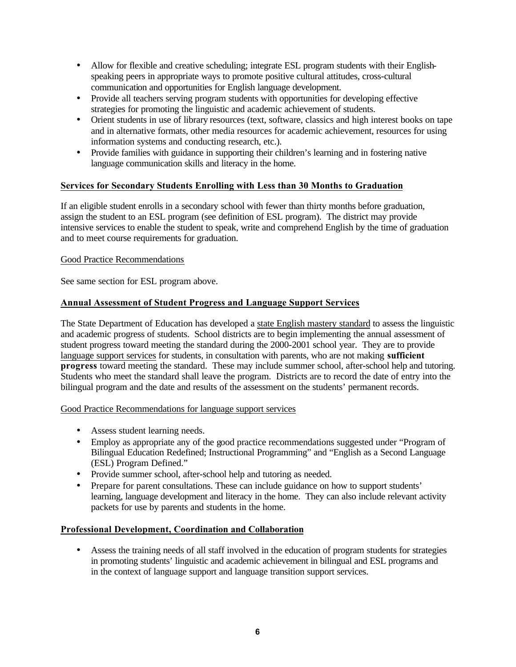- Allow for flexible and creative scheduling; integrate ESL program students with their Englishspeaking peers in appropriate ways to promote positive cultural attitudes, cross-cultural communication and opportunities for English language development.
- Provide all teachers serving program students with opportunities for developing effective strategies for promoting the linguistic and academic achievement of students.
- Orient students in use of library resources (text, software, classics and high interest books on tape and in alternative formats, other media resources for academic achievement, resources for using information systems and conducting research, etc.).
- Provide families with guidance in supporting their children's learning and in fostering native language communication skills and literacy in the home.

# **Services for Secondary Students Enrolling with Less than 30 Months to Graduation**

If an eligible student enrolls in a secondary school with fewer than thirty months before graduation, assign the student to an ESL program (see definition of ESL program). The district may provide intensive services to enable the student to speak, write and comprehend English by the time of graduation and to meet course requirements for graduation.

## Good Practice Recommendations

See same section for ESL program above.

# **Annual Assessment of Student Progress and Language Support Services**

The State Department of Education has developed a state English mastery standard to assess the linguistic and academic progress of students. School districts are to begin implementing the annual assessment of student progress toward meeting the standard during the 2000-2001 school year. They are to provide language support services for students, in consultation with parents, who are not making **sufficient progress** toward meeting the standard. These may include summer school, after-school help and tutoring. Students who meet the standard shall leave the program. Districts are to record the date of entry into the bilingual program and the date and results of the assessment on the students' permanent records.

## Good Practice Recommendations for language support services

- Assess student learning needs.
- Employ as appropriate any of the good practice recommendations suggested under "Program of Bilingual Education Redefined; Instructional Programming" and "English as a Second Language (ESL) Program Defined."
- Provide summer school, after-school help and tutoring as needed.
- Prepare for parent consultations. These can include guidance on how to support students' learning, language development and literacy in the home. They can also include relevant activity packets for use by parents and students in the home.

## **Professional Development, Coordination and Collaboration**

• Assess the training needs of all staff involved in the education of program students for strategies in promoting students' linguistic and academic achievement in bilingual and ESL programs and in the context of language support and language transition support services.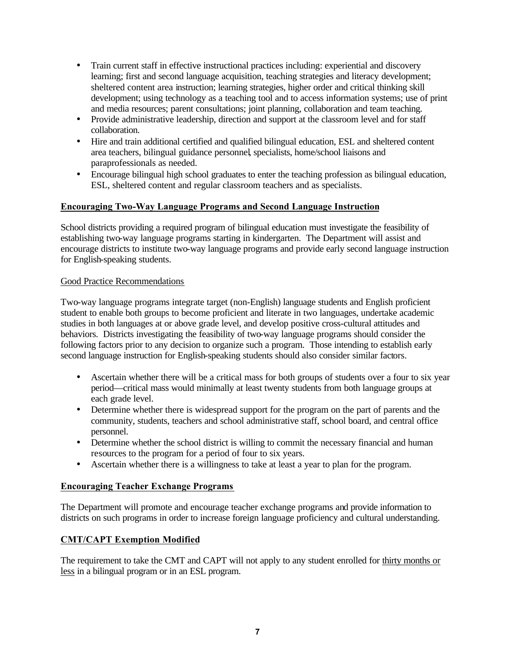- Train current staff in effective instructional practices including: experiential and discovery learning; first and second language acquisition, teaching strategies and literacy development; sheltered content area instruction; learning strategies, higher order and critical thinking skill development; using technology as a teaching tool and to access information systems; use of print and media resources; parent consultations; joint planning, collaboration and team teaching.
- Provide administrative leadership, direction and support at the classroom level and for staff collaboration.
- Hire and train additional certified and qualified bilingual education, ESL and sheltered content area teachers, bilingual guidance personnel, specialists, home/school liaisons and paraprofessionals as needed.
- Encourage bilingual high school graduates to enter the teaching profession as bilingual education, ESL, sheltered content and regular classroom teachers and as specialists.

# **Encouraging Two-Way Language Programs and Second Language Instruction**

School districts providing a required program of bilingual education must investigate the feasibility of establishing two-way language programs starting in kindergarten. The Department will assist and encourage districts to institute two-way language programs and provide early second language instruction for English-speaking students.

## Good Practice Recommendations

Two-way language programs integrate target (non-English) language students and English proficient student to enable both groups to become proficient and literate in two languages, undertake academic studies in both languages at or above grade level, and develop positive cross-cultural attitudes and behaviors. Districts investigating the feasibility of two-way language programs should consider the following factors prior to any decision to organize such a program. Those intending to establish early second language instruction for English-speaking students should also consider similar factors.

- Ascertain whether there will be a critical mass for both groups of students over a four to six year period—critical mass would minimally at least twenty students from both language groups at each grade level.
- Determine whether there is widespread support for the program on the part of parents and the community, students, teachers and school administrative staff, school board, and central office personnel.
- Determine whether the school district is willing to commit the necessary financial and human resources to the program for a period of four to six years.
- Ascertain whether there is a willingness to take at least a year to plan for the program.

# **Encouraging Teacher Exchange Programs**

The Department will promote and encourage teacher exchange programs and provide information to districts on such programs in order to increase foreign language proficiency and cultural understanding.

# **CMT/CAPT Exemption Modified**

The requirement to take the CMT and CAPT will not apply to any student enrolled for thirty months or less in a bilingual program or in an ESL program.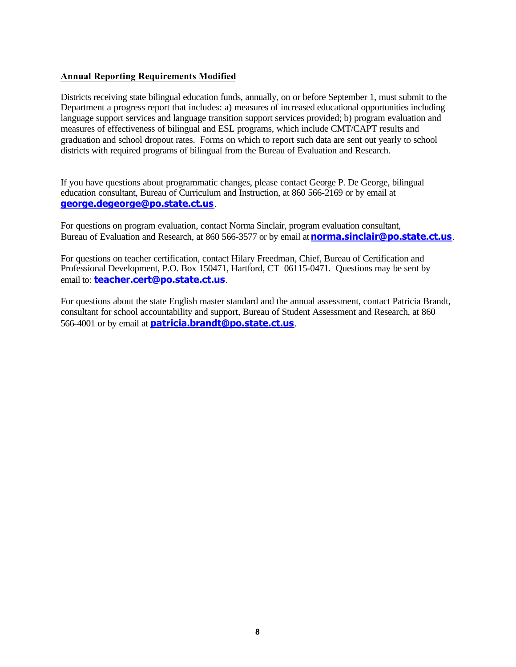## **Annual Reporting Requirements Modified**

Districts receiving state bilingual education funds, annually, on or before September 1, must submit to the Department a progress report that includes: a) measures of increased educational opportunities including language support services and language transition support services provided; b) program evaluation and measures of effectiveness of bilingual and ESL programs, which include CMT/CAPT results and graduation and school dropout rates. Forms on which to report such data are sent out yearly to school districts with required programs of bilingual from the Bureau of Evaluation and Research.

If you have questions about programmatic changes, please contact George P. De George, bilingual education consultant, Bureau of Curriculum and Instruction, at 860 566-2169 or by email at **george.degeorge@po.state.ct.us**.

For questions on program evaluation, contact Norma Sinclair, program evaluation consultant, Bureau of Evaluation and Research, at 860 566-3577 or by email at **norma.sinclair@po.state.ct.us**.

For questions on teacher certification, contact Hilary Freedman, Chief, Bureau of Certification and Professional Development, P.O. Box 150471, Hartford, CT 06115-0471. Questions may be sent by email to: **teacher.cert@po.state.ct.us**.

For questions about the state English master standard and the annual assessment, contact Patricia Brandt, consultant for school accountability and support, Bureau of Student Assessment and Research, at 860 566-4001 or by email at **patricia.brandt@po.state.ct.us**.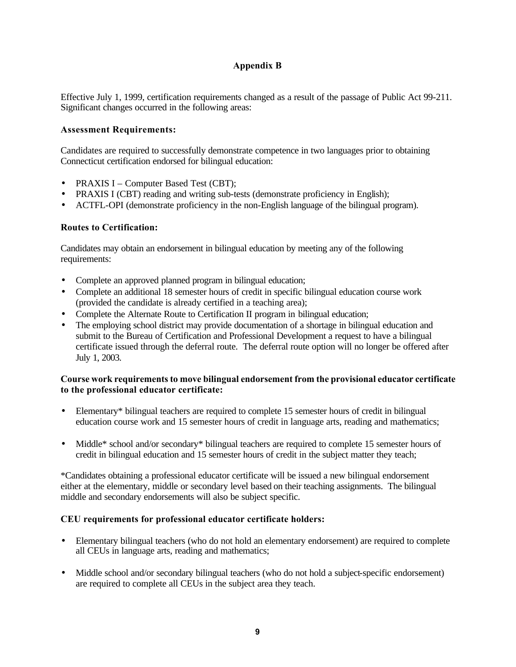# **Appendix B**

Effective July 1, 1999, certification requirements changed as a result of the passage of Public Act 99-211. Significant changes occurred in the following areas:

## **Assessment Requirements:**

Candidates are required to successfully demonstrate competence in two languages prior to obtaining Connecticut certification endorsed for bilingual education:

- PRAXIS I Computer Based Test (CBT);
- PRAXIS I (CBT) reading and writing sub-tests (demonstrate proficiency in English);
- ACTFL-OPI (demonstrate proficiency in the non-English language of the bilingual program).

## **Routes to Certification:**

Candidates may obtain an endorsement in bilingual education by meeting any of the following requirements:

- Complete an approved planned program in bilingual education;
- Complete an additional 18 semester hours of credit in specific bilingual education course work (provided the candidate is already certified in a teaching area);
- Complete the Alternate Route to Certification II program in bilingual education;
- The employing school district may provide documentation of a shortage in bilingual education and submit to the Bureau of Certification and Professional Development a request to have a bilingual certificate issued through the deferral route. The deferral route option will no longer be offered after July 1, 2003.

## **Course work requirements to move bilingual endorsement from the provisional educator certificate to the professional educator certificate:**

- Elementary\* bilingual teachers are required to complete 15 semester hours of credit in bilingual education course work and 15 semester hours of credit in language arts, reading and mathematics;
- Middle\* school and/or secondary\* bilingual teachers are required to complete 15 semester hours of credit in bilingual education and 15 semester hours of credit in the subject matter they teach;

\*Candidates obtaining a professional educator certificate will be issued a new bilingual endorsement either at the elementary, middle or secondary level based on their teaching assignments. The bilingual middle and secondary endorsements will also be subject specific.

## **CEU requirements for professional educator certificate holders:**

- Elementary bilingual teachers (who do not hold an elementary endorsement) are required to complete all CEUs in language arts, reading and mathematics;
- Middle school and/or secondary bilingual teachers (who do not hold a subject-specific endorsement) are required to complete all CEUs in the subject area they teach.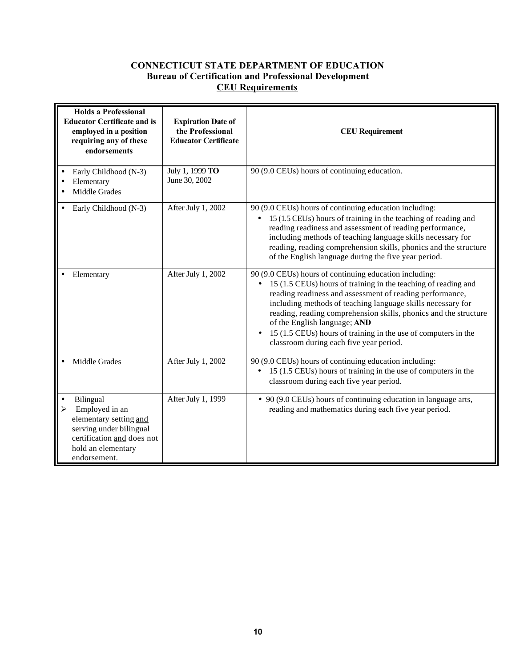# **CONNECTICUT STATE DEPARTMENT OF EDUCATION Bureau of Certification and Professional Development CEU Requirements**

| <b>Holds a Professional</b><br><b>Educator Certificate and is</b><br>employed in a position<br>requiring any of these<br>endorsements |                                                                                                                                                      | <b>Expiration Date of</b><br>the Professional<br><b>Educator Certificate</b> | <b>CEU</b> Requirement                                                                                                                                                                                                                                                                                                                                                                                                                                                                         |  |  |  |
|---------------------------------------------------------------------------------------------------------------------------------------|------------------------------------------------------------------------------------------------------------------------------------------------------|------------------------------------------------------------------------------|------------------------------------------------------------------------------------------------------------------------------------------------------------------------------------------------------------------------------------------------------------------------------------------------------------------------------------------------------------------------------------------------------------------------------------------------------------------------------------------------|--|--|--|
| $\bullet$<br>٠                                                                                                                        | Early Childhood (N-3)<br>Elementary<br>Middle Grades                                                                                                 | July 1, 1999 TO<br>June 30, 2002                                             | 90 (9.0 CEUs) hours of continuing education.                                                                                                                                                                                                                                                                                                                                                                                                                                                   |  |  |  |
|                                                                                                                                       | Early Childhood (N-3)                                                                                                                                | After July 1, 2002                                                           | 90 (9.0 CEUs) hours of continuing education including:<br>15 (1.5 CEUs) hours of training in the teaching of reading and<br>$\bullet$<br>reading readiness and assessment of reading performance,<br>including methods of teaching language skills necessary for<br>reading, reading comprehension skills, phonics and the structure<br>of the English language during the five year period.                                                                                                   |  |  |  |
|                                                                                                                                       | Elementary                                                                                                                                           | After July 1, 2002                                                           | 90 (9.0 CEUs) hours of continuing education including:<br>15 (1.5 CEUs) hours of training in the teaching of reading and<br>$\bullet$<br>reading readiness and assessment of reading performance,<br>including methods of teaching language skills necessary for<br>reading, reading comprehension skills, phonics and the structure<br>of the English language; AND<br>15 (1.5 CEUs) hours of training in the use of computers in the<br>$\bullet$<br>classroom during each five year period. |  |  |  |
|                                                                                                                                       | Middle Grades                                                                                                                                        | After July 1, 2002                                                           | 90 (9.0 CEUs) hours of continuing education including:<br>15 (1.5 CEUs) hours of training in the use of computers in the<br>$\bullet$<br>classroom during each five year period.                                                                                                                                                                                                                                                                                                               |  |  |  |
| $\bullet$<br>➤                                                                                                                        | Bilingual<br>Employed in an<br>elementary setting and<br>serving under bilingual<br>certification and does not<br>hold an elementary<br>endorsement. | After July 1, 1999                                                           | • 90 (9.0 CEUs) hours of continuing education in language arts,<br>reading and mathematics during each five year period.                                                                                                                                                                                                                                                                                                                                                                       |  |  |  |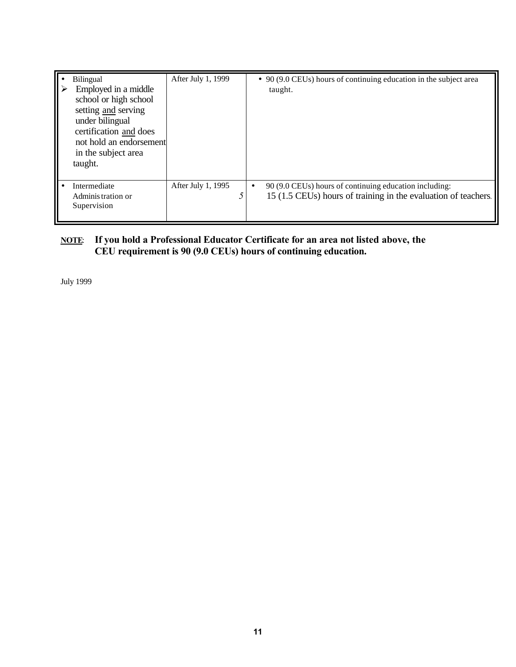| <b>Bilingual</b><br>Employed in a middle<br>school or high school<br>setting and serving<br>under bilingual<br>certification and does<br>not hold an endorsement<br>in the subject area<br>taught. | After July 1, 1999 |           | $\bullet$ 90 (9.0 CEUs) hours of continuing education in the subject area<br>taught.                                     |
|----------------------------------------------------------------------------------------------------------------------------------------------------------------------------------------------------|--------------------|-----------|--------------------------------------------------------------------------------------------------------------------------|
| Intermediate<br>Administration or<br>Supervision                                                                                                                                                   | After July 1, 1995 | $\bullet$ | 90 (9.0 CEUs) hours of continuing education including:<br>15 (1.5 CEUs) hours of training in the evaluation of teachers. |

# **NOTE**: **If you hold a Professional Educator Certificate for an area not listed above, the CEU requirement is 90 (9.0 CEUs) hours of continuing education.**

July 1999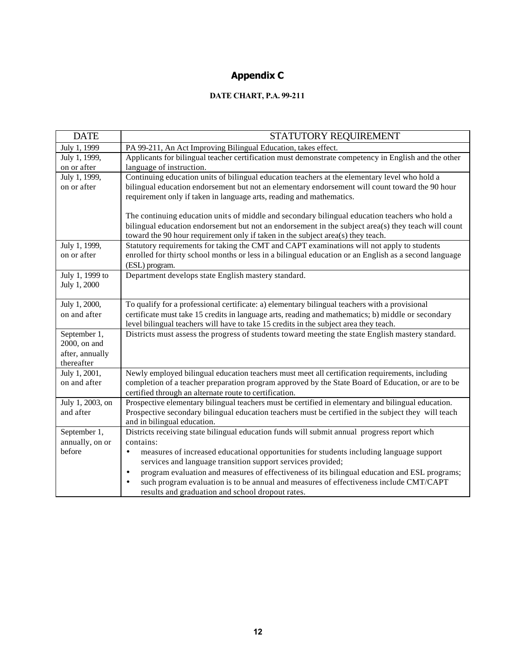# **Appendix C**

# **DATE CHART, P.A. 99-211**

| <b>DATE</b>                   | STATUTORY REQUIREMENT                                                                                      |
|-------------------------------|------------------------------------------------------------------------------------------------------------|
| July 1, 1999                  | PA 99-211, An Act Improving Bilingual Education, takes effect.                                             |
| July 1, 1999,                 | Applicants for bilingual teacher certification must demonstrate competency in English and the other        |
| on or after                   | language of instruction.                                                                                   |
| July 1, 1999,                 | Continuing education units of bilingual education teachers at the elementary level who hold a              |
| on or after                   | bilingual education endorsement but not an elementary endorsement will count toward the 90 hour            |
|                               | requirement only if taken in language arts, reading and mathematics.                                       |
|                               | The continuing education units of middle and secondary bilingual education teachers who hold a             |
|                               | bilingual education endorsement but not an endorsement in the subject area(s) they teach will count        |
|                               | toward the 90 hour requirement only if taken in the subject area(s) they teach.                            |
| July 1, 1999,                 | Statutory requirements for taking the CMT and CAPT examinations will not apply to students                 |
| on or after                   | enrolled for thirty school months or less in a bilingual education or an English as a second language      |
|                               | (ESL) program.                                                                                             |
| July 1, 1999 to               | Department develops state English mastery standard.                                                        |
| July 1, 2000                  |                                                                                                            |
|                               |                                                                                                            |
| July 1, 2000,                 | To qualify for a professional certificate: a) elementary bilingual teachers with a provisional             |
| on and after                  | certificate must take 15 credits in language arts, reading and mathematics; b) middle or secondary         |
|                               | level bilingual teachers will have to take 15 credits in the subject area they teach.                      |
| September 1,                  | Districts must assess the progress of students toward meeting the state English mastery standard.          |
| 2000, on and                  |                                                                                                            |
| after, annually               |                                                                                                            |
| thereafter                    | Newly employed bilingual education teachers must meet all certification requirements, including            |
| July 1, 2001,<br>on and after | completion of a teacher preparation program approved by the State Board of Education, or are to be         |
|                               | certified through an alternate route to certification.                                                     |
| July 1, 2003, on              | Prospective elementary bilingual teachers must be certified in elementary and bilingual education.         |
| and after                     | Prospective secondary bilingual education teachers must be certified in the subject they will teach        |
|                               | and in bilingual education.                                                                                |
| September 1,                  | Districts receiving state bilingual education funds will submit annual progress report which               |
| annually, on or               | contains:                                                                                                  |
| before                        | measures of increased educational opportunities for students including language support<br>$\bullet$       |
|                               | services and language transition support services provided;                                                |
|                               | program evaluation and measures of effectiveness of its bilingual education and ESL programs;<br>$\bullet$ |
|                               | such program evaluation is to be annual and measures of effectiveness include CMT/CAPT<br>$\bullet$        |
|                               | results and graduation and school dropout rates.                                                           |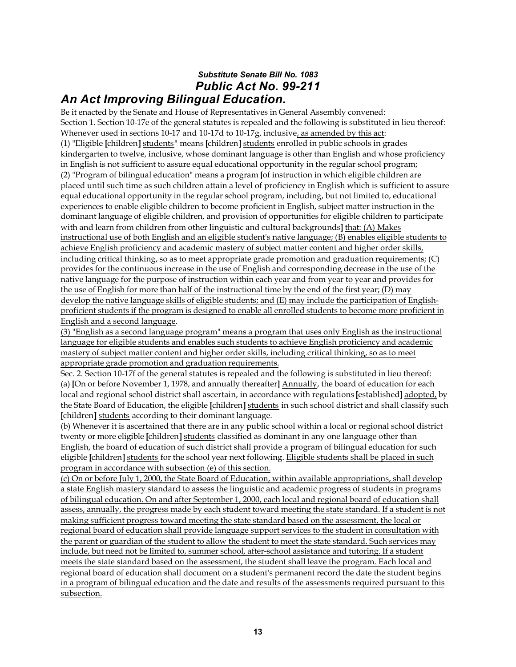# *Substitute Senate Bill No. 1083 Public Act No. 99-211 An Act Improving Bilingual Education.*

Be it enacted by the Senate and House of Representatives in General Assembly convened: Section 1. Section 10-17e of the general statutes is repealed and the following is substituted in lieu thereof: Whenever used in sections 10-17 and 10-17d to 10-17g, inclusive, as amended by this act: (1) "Eligible **[**children **]** students" means **[**children**]** students enrolled in public schools in grades kindergarten to twelve, inclusive, whose dominant language is other than English and whose proficiency in English is not sufficient to assure equal educational opportunity in the regular school program; (2) "Program of bilingual education" means a program **[**of instruction in which eligible children are placed until such time as such children attain a level of proficiency in English which is sufficient to assure equal educational opportunity in the regular school program, including, but not limited to, educational experiences to enable eligible children to become proficient in English, subject matter instruction in the dominant language of eligible children, and provision of opportunities for eligible children to participate with and learn from children from other linguistic and cultural backgrounds**]** that: (A) Makes instructional use of both English and an eligible student's native language; (B) enables eligible students to achieve English proficiency and academic mastery of subject matter content and higher order skills, including critical thinking, so as to meet appropriate grade promotion and graduation requirements; (C) provides for the continuous increase in the use of English and corresponding decrease in the use of the native language for the purpose of instruction within each year and from year to year and provides for the use of English for more than half of the instructional time by the end of the first year; (D) may develop the native language skills of eligible students; and (E) may include the participation of Englishproficient students if the program is designed to enable all enrolled students to become more proficient in English and a second language.

(3) "English as a second language program" means a program that uses only English as the instructional language for eligible students and enables such students to achieve English proficiency and academic mastery of subject matter content and higher order skills, including critical thinking, so as to meet appropriate grade promotion and graduation requirements.

Sec. 2. Section 10-17f of the general statutes is repealed and the following is substituted in lieu thereof: (a) **[**On or before November 1, 1978, and annually thereafter**]** Annually, the board of education for each local and regional school district shall ascertain, in accordance with regulations **[**established**]** adopted, by the State Board of Education, the eligible **[**children**]** students in such school district and shall classify such **[**children**]** students according to their dominant language.

(b) Whenever it is ascertained that there are in any public school within a local or regional school district twenty or more eligible **[**children**]** students classified as dominant in any one language other than English, the board of education of such district shall provide a program of bilingual education for such eligible **[**children**]** students for the school year next following. Eligible students shall be placed in such program in accordance with subsection (e) of this section.

(c) On or before July 1, 2000, the State Board of Education, within available appropriations, shall develop a state English mastery standard to assess the linguistic and academic progress of students in programs of bilingual education. On and after September 1, 2000, each local and regional board of education shall assess, annually, the progress made by each student toward meeting the state standard. If a student is not making sufficient progress toward meeting the state standard based on the assessment, the local or regional board of education shall provide language support services to the student in consultation with the parent or guardian of the student to allow the student to meet the state standard. Such services may include, but need not be limited to, summer school, after-school assistance and tutoring. If a student meets the state standard based on the assessment, the student shall leave the program. Each local and regional board of education shall document on a student's permanent record the date the student begins in a program of bilingual education and the date and results of the assessments required pursuant to this subsection.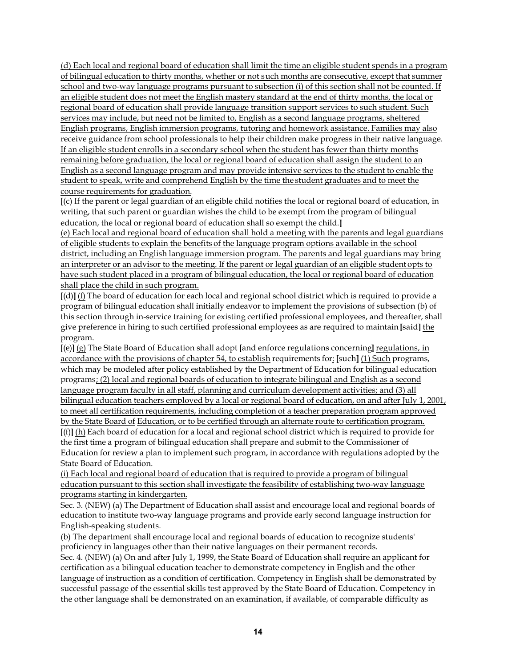(d) Each local and regional board of education shall limit the time an eligible student spends in a program of bilingual education to thirty months, whether or not such months are consecutive, except that summer school and two-way language programs pursuant to subsection (i) of this section shall not be counted. If an eligible student does not meet the English mastery standard at the end of thirty months, the local or regional board of education shall provide language transition support services to such student. Such services may include, but need not be limited to, English as a second language programs, sheltered English programs, English immersion programs, tutoring and homework assistance. Families may also receive guidance from school professionals to help their children make progress in their native language. If an eligible student enrolls in a secondary school when the student has fewer than thirty months remaining before graduation, the local or regional board of education shall assign the student to an English as a second language program and may provide intensive services to the student to enable the student to speak, write and comprehend English by the time the student graduates and to meet the course requirements for graduation.

**[**(c) If the parent or legal guardian of an eligible child notifies the local or regional board of education, in writing, that such parent or guardian wishes the child to be exempt from the program of bilingual education, the local or regional board of education shall so exempt the child.**]**

(e) Each local and regional board of education shall hold a meeting with the parents and legal guardians of eligible students to explain the benefits of the language program options available in the school district, including an English language immersion program. The parents and legal guardians may bring an interpreter or an advisor to the meeting. If the parent or legal guardian of an eligible student opts to have such student placed in a program of bilingual education, the local or regional board of education shall place the child in such program.

**[**(d)**]** (f) The board of education for each local and regional school district which is required to provide a program of bilingual education shall initially endeavor to implement the provisions of subsection (b) of this section through in-service training for existing certified professional employees, and thereafter, shall give preference in hiring to such certified professional employees as are required to maintain **[**said**]** the program.

**[**(e)**]** (g) The State Board of Education shall adopt **[**and enforce regulations concerning**]** regulations, in accordance with the provisions of chapter 54, to establish requirements for: **[**such**]** (1) Such programs, which may be modeled after policy established by the Department of Education for bilingual education programs; (2) local and regional boards of education to integrate bilingual and English as a second language program faculty in all staff, planning and curriculum development activities; and (3) all bilingual education teachers employed by a local or regional board of education, on and after July 1, 2001, to meet all certification requirements, including completion of a teacher preparation program approved by the State Board of Education, or to be certified through an alternate route to certification program. **[**(f)**]** (h) Each board of education for a local and regional school district which is required to provide for the first time a program of bilingual education shall prepare and submit to the Commissioner of Education for review a plan to implement such program, in accordance with regulations adopted by the State Board of Education.

(i) Each local and regional board of education that is required to provide a program of bilingual education pursuant to this section shall investigate the feasibility of establishing two-way language programs starting in kindergarten.

Sec. 3. (NEW) (a) The Department of Education shall assist and encourage local and regional boards of education to institute two-way language programs and provide early second language instruction for English-speaking students.

(b) The department shall encourage local and regional boards of education to recognize students' proficiency in languages other than their native languages on their permanent records.

Sec. 4. (NEW) (a) On and after July 1, 1999, the State Board of Education shall require an applicant for certification as a bilingual education teacher to demonstrate competency in English and the other language of instruction as a condition of certification. Competency in English shall be demonstrated by successful passage of the essential skills test approved by the State Board of Education. Competency in the other language shall be demonstrated on an examination, if available, of comparable difficulty as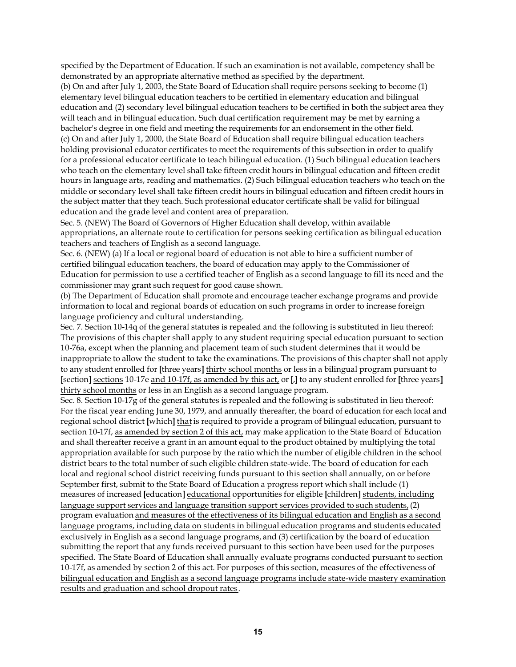specified by the Department of Education. If such an examination is not available, competency shall be demonstrated by an appropriate alternative method as specified by the department.

(b) On and after July 1, 2003, the State Board of Education shall require persons seeking to become (1) elementary level bilingual education teachers to be certified in elementary education and bilingual education and (2) secondary level bilingual education teachers to be certified in both the subject area they will teach and in bilingual education. Such dual certification requirement may be met by earning a bachelor's degree in one field and meeting the requirements for an endorsement in the other field. (c) On and after July 1, 2000, the State Board of Education shall require bilingual education teachers holding provisional educator certificates to meet the requirements of this subsection in order to qualify for a professional educator certificate to teach bilingual education. (1) Such bilingual education teachers who teach on the elementary level shall take fifteen credit hours in bilingual education and fifteen credit hours in language arts, reading and mathematics. (2) Such bilingual education teachers who teach on the middle or secondary level shall take fifteen credit hours in bilingual education and fifteen credit hours in the subject matter that they teach. Such professional educator certificate shall be valid for bilingual education and the grade level and content area of preparation.

Sec. 5. (NEW) The Board of Governors of Higher Education shall develop, within available appropriations, an alternate route to certification for persons seeking certification as bilingual education teachers and teachers of English as a second language.

Sec. 6. (NEW) (a) If a local or regional board of education is not able to hire a sufficient number of certified bilingual education teachers, the board of education may apply to the Commissioner of Education for permission to use a certified teacher of English as a second language to fill its need and the commissioner may grant such request for good cause shown.

(b) The Department of Education shall promote and encourage teacher exchange programs and provide information to local and regional boards of education on such programs in order to increase foreign language proficiency and cultural understanding.

Sec. 7. Section 10-14q of the general statutes is repealed and the following is substituted in lieu thereof: The provisions of this chapter shall apply to any student requiring special education pursuant to section 10-76a, except when the planning and placement team of such student determines that it would be inappropriate to allow the student to take the examinations. The provisions of this chapter shall not apply to any student enrolled for **[**three years**]** thirty school months or less in a bilingual program pursuant to **[**section**]** sections 10-17e and 10-17f, as amended by this act, or **[**,**]** to any student enrolled for **[**three years**]** thirty school months or less in an English as a second language program.

Sec. 8. Section 10-17g of the general statutes is repealed and the following is substituted in lieu thereof: For the fiscal year ending June 30, 1979, and annually thereafter, the board of education for each local and regional school district **[**which**]** that is required to provide a program of bilingual education, pursuant to section 10-17f, as amended by section 2 of this act, may make application to the State Board of Education and shall thereafter receive a grant in an amount equal to the product obtained by multiplying the total appropriation available for such purpose by the ratio which the number of eligible children in the school district bears to the total number of such eligible children state-wide. The board of education for each local and regional school district receiving funds pursuant to this section shall annually, on or before September first, submit to the State Board of Education a progress report which shall include (1) measures of increased **[**education**]** educational opportunities for eligible **[**children **]** students, including language support services and language transition support services provided to such students, (2) program evaluation and measures of the effectiveness of its bilingual education and English as a second language programs, including data on students in bilingual education programs and students educated exclusively in English as a second language programs, and (3) certification by the board of education submitting the report that any funds received pursuant to this section have been used for the purposes specified. The State Board of Education shall annually evaluate programs conducted pursuant to section 10-17f, as amended by section 2 of this act. For purposes of this section, measures of the effectiveness of bilingual education and English as a second language programs include state-wide mastery examination results and graduation and school dropout rates.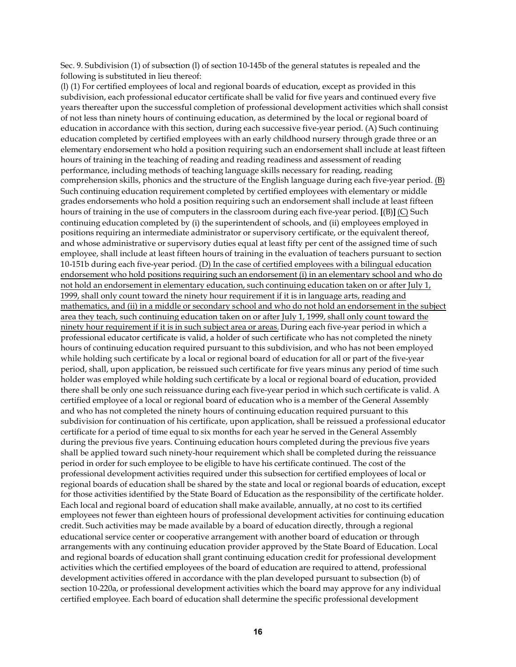Sec. 9. Subdivision (1) of subsection (l) of section 10-145b of the general statutes is repealed and the following is substituted in lieu thereof:

(l) (1) For certified employees of local and regional boards of education, except as provided in this subdivision, each professional educator certificate shall be valid for five years and continued every five years thereafter upon the successful completion of professional development activities which shall consist of not less than ninety hours of continuing education, as determined by the local or regional board of education in accordance with this section, during each successive five-year period. (A) Such continuing education completed by certified employees with an early childhood nursery through grade three or an elementary endorsement who hold a position requiring such an endorsement shall include at least fifteen hours of training in the teaching of reading and reading readiness and assessment of reading performance, including methods of teaching language skills necessary for reading, reading comprehension skills, phonics and the structure of the English language during each five-year period. (B) Such continuing education requirement completed by certified employees with elementary or middle grades endorsements who hold a position requiring such an endorsement shall include at least fifteen hours of training in the use of computers in the classroom during each five-year period. **[**(B)**]** (C) Such continuing education completed by (i) the superintendent of schools, and (ii) employees employed in positions requiring an intermediate administrator or supervisory certificate, or the equivalent thereof, and whose administrative or supervisory duties equal at least fifty per cent of the assigned time of such employee, shall include at least fifteen hours of training in the evaluation of teachers pursuant to section 10-151b during each five-year period. (D) In the case of certified employees with a bilingual education endorsement who hold positions requiring such an endorsement (i) in an elementary school and who do not hold an endorsement in elementary education, such continuing education taken on or after July 1, 1999, shall only count toward the ninety hour requirement if it is in language arts, reading and mathematics, and (ii) in a middle or secondary school and who do not hold an endorsement in the subject area they teach, such continuing education taken on or after July 1, 1999, shall only count toward the ninety hour requirement if it is in such subject area or areas. During each five-year period in which a professional educator certificate is valid, a holder of such certificate who has not completed the ninety hours of continuing education required pursuant to this subdivision, and who has not been employed while holding such certificate by a local or regional board of education for all or part of the five-year period, shall, upon application, be reissued such certificate for five years minus any period of time such holder was employed while holding such certificate by a local or regional board of education, provided there shall be only one such reissuance during each five-year period in which such certificate is valid. A certified employee of a local or regional board of education who is a member of the General Assembly and who has not completed the ninety hours of continuing education required pursuant to this subdivision for continuation of his certificate, upon application, shall be reissued a professional educator certificate for a period of time equal to six months for each year he served in the General Assembly during the previous five years. Continuing education hours completed during the previous five years shall be applied toward such ninety-hour requirement which shall be completed during the reissuance period in order for such employee to be eligible to have his certificate continued. The cost of the professional development activities required under this subsection for certified employees of local or regional boards of education shall be shared by the state and local or regional boards of education, except for those activities identified by the State Board of Education as the responsibility of the certificate holder. Each local and regional board of education shall make available, annually, at no cost to its certified employees not fewer than eighteen hours of professional development activities for continuing education credit. Such activities may be made available by a board of education directly, through a regional educational service center or cooperative arrangement with another board of education or through arrangements with any continuing education provider approved by the State Board of Education. Local and regional boards of education shall grant continuing education credit for professional development activities which the certified employees of the board of education are required to attend, professional development activities offered in accordance with the plan developed pursuant to subsection (b) of section 10-220a, or professional development activities which the board may approve for any individual certified employee. Each board of education shall determine the specific professional development